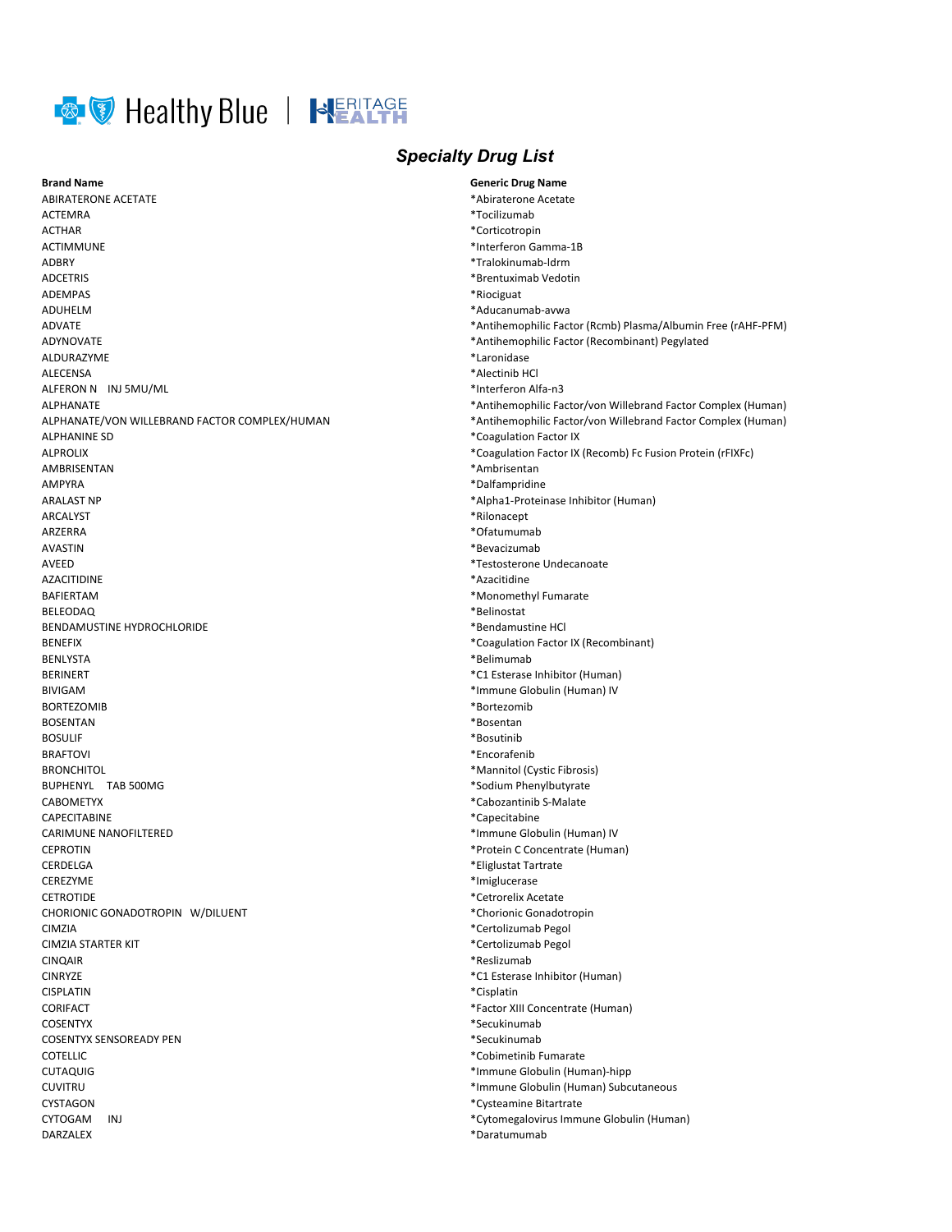

## **Brand Name**

**ABIRATERONE ACETATE ACTEMRA ACTHAR ACTIMMUNE ADBRY ADCETRIS ADEMPAS ADUHELM** ADVATE **ADYNOVATE** ALDURAZYME **ALECENSA** ALFERON N INJ 5MU/ML **ALPHANATE** ALPHANATE/VON WILLEBRAND FACTOR COMPLEX/HUMAN **ALPHANINE SD ALPROLIX** AMBRISENTAN AMPYRA **ARALAST NP ARCALYST AR7FRRA AVASTIN AVEED AZACITIDINE BAFIERTAM BELEODAQ** BENDAMUSTINE HYDROCHLORIDE **RENEFIX BENLYSTA BERINERT BIVIGAM BORTEZOMIB BOSENTAN BOSULIF BRAFTOVI RRONCHITOL BUPHENYL TAB 500MG CABOMETYX** CAPECITABINE CARIMUNE NANOFILTERED **CEPROTIN** CERDELGA CEREZYME **CETROTIDE** CHORIONIC GONADOTROPIN W/DILUENT CIMZIA **CIMZIA STARTER KIT CINQAIR CINRYZE CISPLATIN** CORIFACT **COSENTYX COSENTYX SENSOREADY PEN COTELLIC CUTAQUIG CUVITRU CYSTAGON** CYTOGAM INJ DARZALEX

## **Specialty Drug List**

**Generic Drug Name** \*Abiraterone Acetate \*Tocilizumab \*Corticotropin \*Interferon Gamma-1B \*Tralokinumab-ldrm \*Brentuximab Vedotin \*Riociguat \*Aducanumab-avwa \*Antihemophilic Factor (Rcmb) Plasma/Albumin Free (rAHF-PFM) \*Antihemophilic Factor (Recombinant) Pegylated \*Laronidase \*Alectinib HCl \*Interferon Alfa-n3 \*Antihemophilic Factor/von Willebrand Factor Complex (Human) \*Antihemophilic Factor/von Willebrand Factor Complex (Human) \*Coagulation Factor IX \*Coagulation Factor IX (Recomb) Fc Fusion Protein (rFIXFc) \*Ambrisentan \*Dalfampridine \*Alpha1-Proteinase Inhibitor (Human) \*Rilonacept \*Ofatumumab \*Bevacizumab \*Testosterone Undecanoate \*Azacitidine \*Monomethyl Fumarate \*Belinostat \*Bendamustine HCl \*Coagulation Factor IX (Recombinant) \*Belimumab \*C1 Esterase Inhibitor (Human) \*Immune Globulin (Human) IV \*Bortezomib \*Bosentan \*Bosutinib \*Encorafenib \*Mannitol (Cystic Fibrosis) \*Sodium Phenylbutyrate \*Cabozantinib S-Malate \*Capecitabine \*Immune Globulin (Human) IV \*Protein C Concentrate (Human) \*Eliglustat Tartrate \*Imiglucerase \*Cetrorelix Acetate \*Chorionic Gonadotropin \*Certolizumab Pegol \*Certolizumab Pegol \*Reslizumab \*C1 Esterase Inhibitor (Human) \*Cisplatin \*Factor XIII Concentrate (Human) \*Secukinumab \*Secukinumab \*Cobimetinib Fumarate \*Immune Globulin (Human)-hipp \*Immune Globulin (Human) Subcutaneous \*Cysteamine Bitartrate \*Cytomegalovirus Immune Globulin (Human)

\*Daratumumab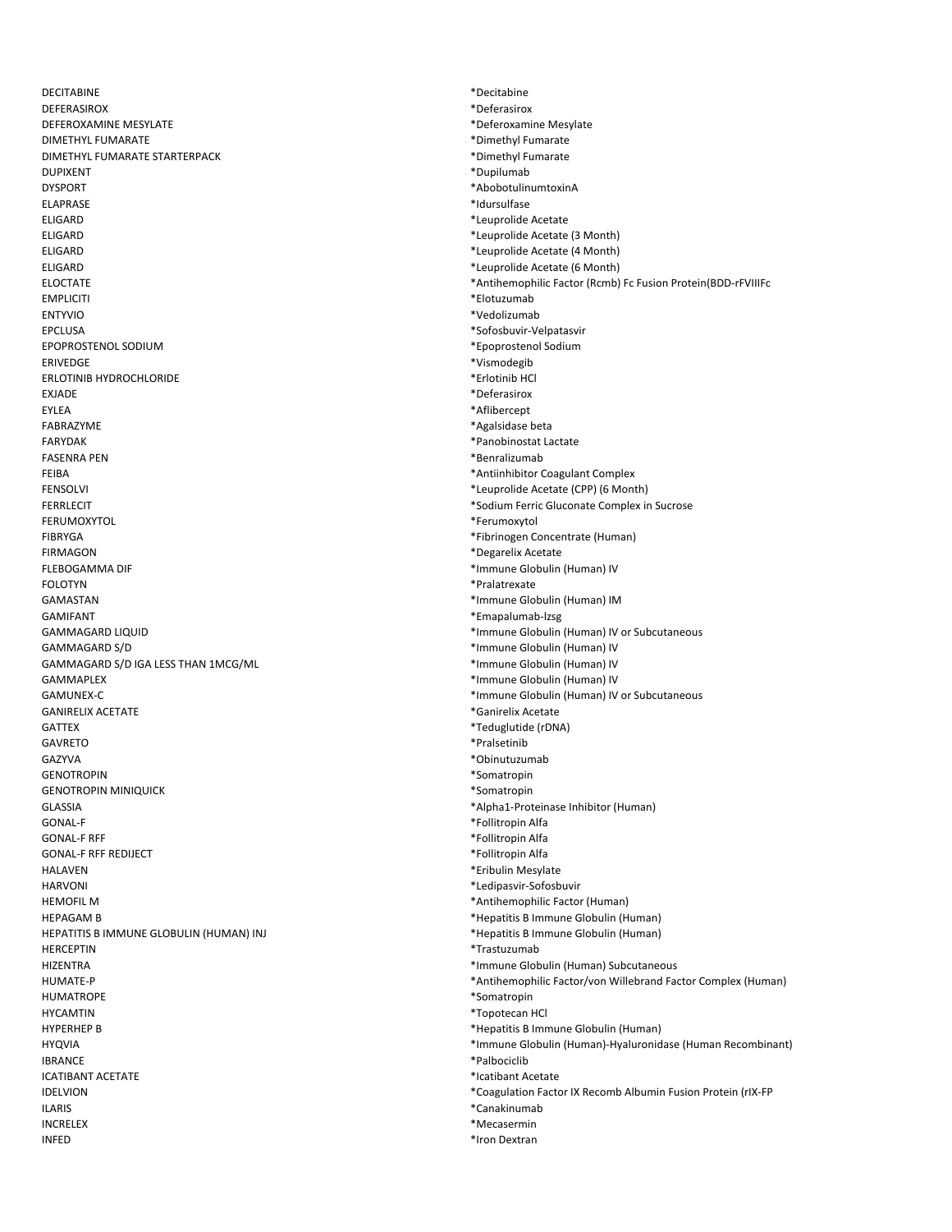DECITABINE **DEFERASIROX** DEFEROXAMINE MESYLATE **DIMETHYL FUMARATE** DIMETHYL FUMARATE STARTERPACK **DUPIXENT DYSPORT FIAPRASE FLIGARD FLIGARD ELIGARD** ELIGARD **ELOCTATE EMPLICITI FNTYVIO EPCLUSA** EPOPROSTENOL SODIUM **ERIVEDGE ERLOTINIB HYDROCHLORIDE FXIADE FYI FA** FABRAZYME **FARYDAK FASENRA PEN** FEIBA **FENSOLVI FERRLECIT FERUMOXYTOL FIBRYGA FIRMAGON** FLEBOGAMMA DIF **FOLOTYN GAMASTAN GAMIFANT GAMMAGARD LIQUID** GAMMAGARD S/D GAMMAGARD S/D IGA LESS THAN 1MCG/ML GAMMAPLEX **GAMUNEX-C GANIRELIX ACETATE GATTEX GAVRETO** GAZYVA **GENOTROPIN GENOTROPIN MINIQUICK** GLASSIA **GONAL-F GONAL-F RFF GONAL-F RFF REDIJECT HALAVEN HARVONI HEMOFIL M HFPAGAM B** HEPATITIS B IMMUNE GLOBULIN (HUMAN) INJ **HERCEPTIN HIZENTRA** HUMATE-P **HUMATROPE HYCAMTIN HYPERHEP B HYQVIA IBRANCE ICATIBANT ACETATE IDELVION ILARIS INCRELEX INFED** 

\*Decitabine \*Deferasirox \*Deferoxamine Mesylate \*Dimethyl Fumarate \*Dimethyl Fumarate \*Dupilumab \*AbobotulinumtoxinA \*Idursulfase \*Leuprolide Acetate \*Leuprolide Acetate (3 Month) \*Leuprolide Acetate (4 Month) \*Leuprolide Acetate (6 Month) \*Antihemophilic Factor (Rcmb) Fc Fusion Protein(BDD-rFVIIIFc \*Elotuzumab \*Vedolizumab \*Sofosbuvir-Velpatasvir \*Epoprostenol Sodium \*Vismodegib \*Erlotinib HCl \*Deferasirox \*Aflibercept \*Agalsidase beta \*Panobinostat Lactate \*Benralizumab \*Antiinhibitor Coagulant Complex \*Leuprolide Acetate (CPP) (6 Month) \*Sodium Ferric Gluconate Complex in Sucrose \*Ferumoxytol \*Fibrinogen Concentrate (Human) \*Degarelix Acetate \*Immune Globulin (Human) IV \*Pralatrexate \*Immune Globulin (Human) IM \*Emapalumab-Izsg \*Immune Globulin (Human) IV or Subcutaneous \*Immune Globulin (Human) IV \*Immune Globulin (Human) IV \*Immune Globulin (Human) IV \*Immune Globulin (Human) IV or Subcutaneous \*Ganirelix Acetate \*Teduglutide (rDNA) \*Pralsetinib \*Obinutuzumab \*Somatropin \*Somatropin \*Alpha1-Proteinase Inhibitor (Human) \*Follitropin Alfa \*Follitropin Alfa \*Follitropin Alfa \*Eribulin Mesylate \*Ledipasvir-Sofosbuvir \*Antihemophilic Factor (Human) \*Hepatitis B Immune Globulin (Human) \*Hepatitis B Immune Globulin (Human) \*Trastuzumab \*Immune Globulin (Human) Subcutaneous \*Antihemophilic Factor/von Willebrand Factor Complex (Human) \*Somatropin \*Topotecan HCl \*Hepatitis B Immune Globulin (Human) \*Immune Globulin (Human)-Hyaluronidase (Human Recombinant) \*Palbociclib \*Icatibant Acetate \*Coagulation Factor IX Recomb Albumin Fusion Protein (rIX-FP \*Canakinumab \*Mecasermin

\*Iron Dextran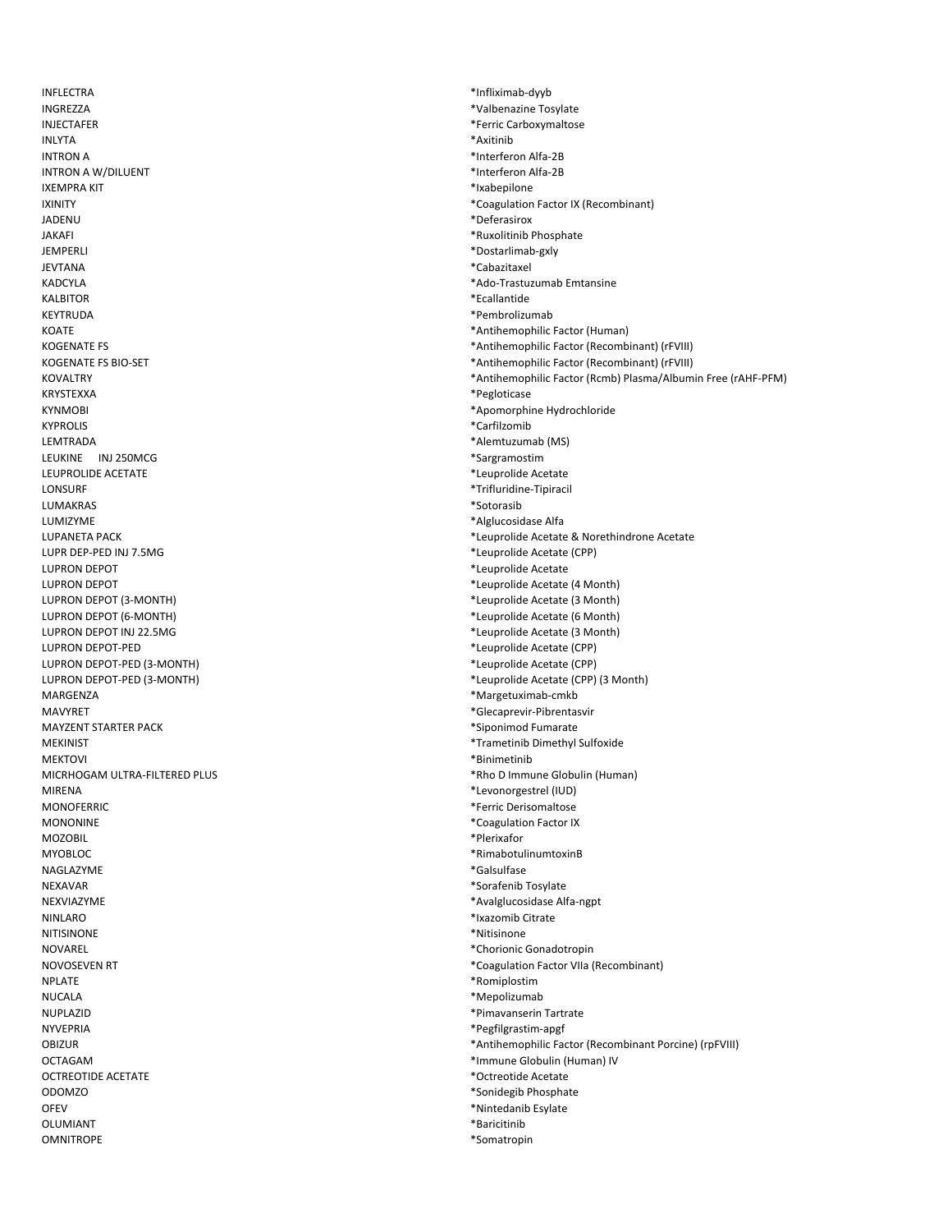**INFLECTRA** INGREZZA **INJECTAFER INLYTA INTRON A INTRON A W/DILUENT IXEMPRA KIT IXINITY IADENU IAKAFI** JEMPERLI **JEVTANA KADCYLA KALBITOR** KEYTRUDA KOATF **KOGENATE FS KOGENATE FS BIO-SET KOVALTRY** KRYSTEXXA **KYNMOBI KYPROLIS I FMTRADA** LEUKINE INJ 250MCG LEUPROLIDE ACETATE LONSURF LUMAKRAS LUMIZYME **LUPANETA PACK** LUPR DEP-PED INJ 7.5MG **ILIPRON DEPOT I UPRON DEPOT** LUPRON DEPOT (3-MONTH) **LUPRON DEPOT (6-MONTH)** LUPRON DEPOT INJ 22.5MG LUPRON DEPOT-PED LUPRON DEPOT-PED (3-MONTH) LUPRON DEPOT-PED (3-MONTH) MARGENZA **MAVYRET MAYZENT STARTER PACK MEKINIST MEKTOVI** MICRHOGAM ULTRA-FILTERED PLUS **MIRFNA MONOFERRIC MONONINE MOZOBIL MYOBLOC** NAGLAZYME NEXAVAR NEXVIAZYMF NINI ARO **NITISINONE NOVAREL** NOVOSEVEN RT **NPLATE NUCALA NUPLAZID NYVEPRIA OBIZUR OCTAGAM** OCTREOTIDE ACETATE **ODOMZO OFEV OLUMIANT OMNITROPE** 

\*Infliximab-dyyb \*Valbenazine Tosylate \*Ferric Carboxymaltose \*Axitinib \*Interferon Alfa-2B \*Interferon Alfa-2B \*Ixabepilone \*Coagulation Factor IX (Recombinant) \*Deferasirox \*Ruxolitinib Phosphate \*Dostarlimab-gxly \*Cabazitaxel \*Ado-Trastuzumab Emtansine \*Ecallantide \*Pembrolizumab \*Antihemophilic Factor (Human) \*Antihemophilic Factor (Recombinant) (rFVIII) \*Antihemophilic Factor (Recombinant) (rFVIII) \*Antihemophilic Factor (Rcmb) Plasma/Albumin Free (rAHF-PFM) \*Pegloticase \*Apomorphine Hydrochloride \*Carfilzomib \*Alemtuzumab (MS) \*Sargramostim \*Leuprolide Acetate \*Trifluridine-Tipiracil \*Sotorasib \*Alglucosidase Alfa \*Leuprolide Acetate & Norethindrone Acetate \*Leuprolide Acetate (CPP) \*Leuprolide Acetate \*Leuprolide Acetate (4 Month) \*Leuprolide Acetate (3 Month) \*Leuprolide Acetate (6 Month) \*Leuprolide Acetate (3 Month) \*Leuprolide Acetate (CPP) \*Leuprolide Acetate (CPP) \*Leuprolide Acetate (CPP) (3 Month) \*Margetuximab-cmkb \*Glecaprevir-Pibrentasvir \*Siponimod Fumarate \*Trametinib Dimethyl Sulfoxide \*Binimetinib \*Rho D Immune Globulin (Human) \*Levonorgestrel (IUD) \*Ferric Derisomaltose \*Coagulation Factor IX \*Plerixafor \*RimabotulinumtoxinB \*Galsulfase \*Sorafenib Tosylate \*Avalglucosidase Alfa-ngpt \*Ixazomib Citrate \*Nitisinone \*Chorionic Gonadotropin \*Coagulation Factor VIIa (Recombinant) \*Romiplostim \*Mepolizumab \*Pimavanserin Tartrate \*Pegfilgrastim-apgf \*Antihemophilic Factor (Recombinant Porcine) (rpFVIII) \*Immune Globulin (Human) IV \*Octreotide Acetate \*Sonidegib Phosphate \*Nintedanib Esylate

- \*Baricitinib
- \*Somatropin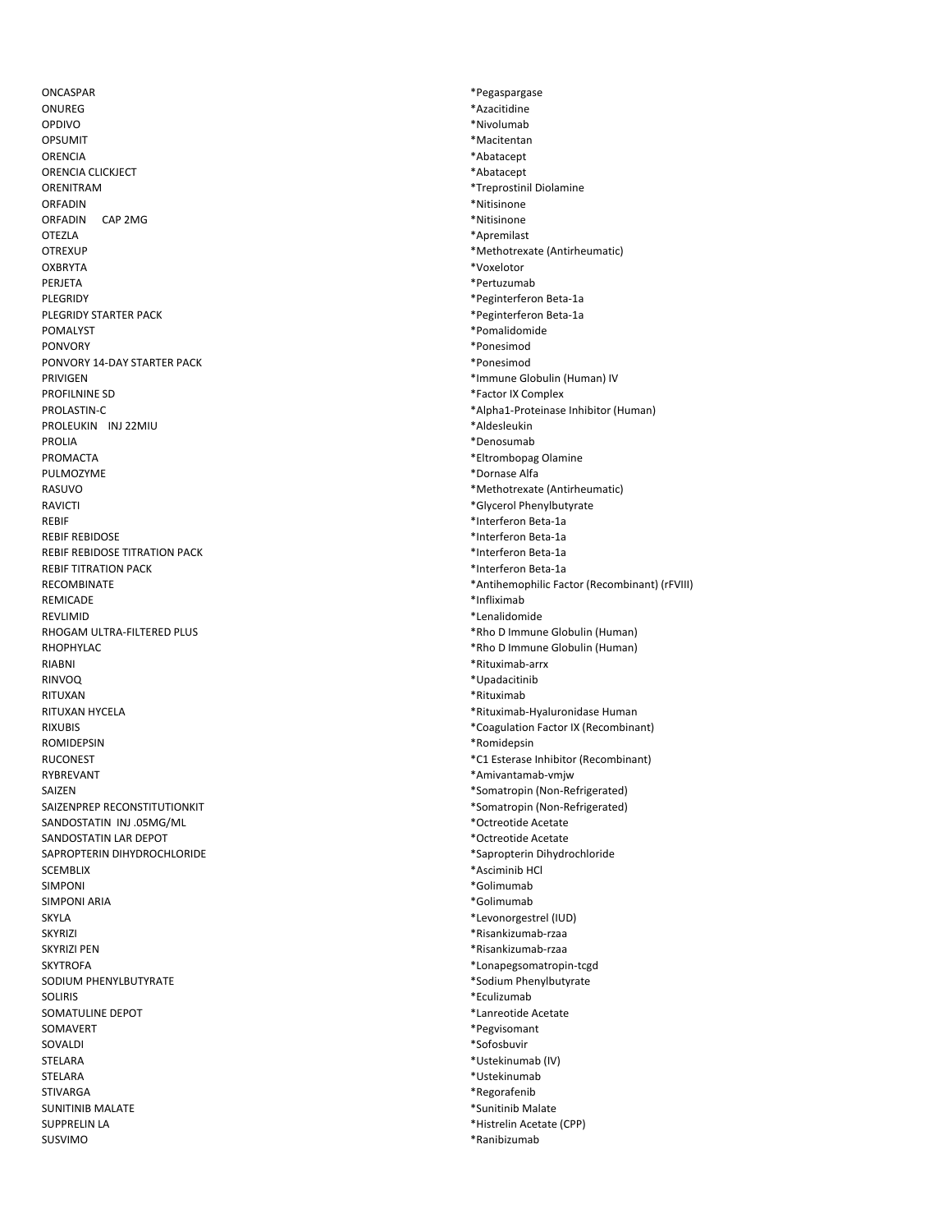ONCASPAR ONURFG OPDIVO OPSUMIT ORENCIA ORENCIA CLICKJECT ORENITRAM OREADIN ORFADIN CAP 2MG OTF7LA **OTREXUP OXBRYTA** PERJETA PLEGRIDY PLEGRIDY STARTER PACK ΡΩΜΑΙ ΥΝΤ **PONVORY** PONVORY 14-DAY STARTER PACK PRIVIGEN PROFILNINE SD PROLASTIN-C PROLEUKIN INJ 22MIU **PROLIA** PROMACTA PULMOZYME RASUVO **RAVICTI REBIF REBIF REBIDOSE** REBIF REBIDOSE TITRATION PACK **REBIF TITRATION PACK** RECOMBINATE **REMICADE REVLIMID** RHOGAM ULTRA-FILTERED PLUS RHOPHYLAC RIARNI **RINVOO** RITUXAN RITUXAN HYCELA **RIXUBIS ROMIDEPSIN RUCONEST** RYBREVANT **SAIZEN** SAIZENPREP RECONSTITUTIONKIT SANDOSTATIN INJ .05MG/ML SANDOSTATIN LAR DEPOT SAPROPTERIN DIHYDROCHLORIDE **SCEMBLIX SIMPONI** SIMPONI ARIA SKYI A **SKYRIZI SKYRIZI PEN SKYTROFA** SODIUM PHENYLBUTYRATE **SOLIRIS** SOMATULINE DEPOT SOMAVERT SOVALDI STELARA **STELARA STIVARGA SUNITINIB MALATE SUPPRELIN LA** SLISVIMO

\*Pegaspargase \*Azacitidine \*Nivolumab \*Macitentan \*Abatacept \*Abatacept \*Treprostinil Diolamine \*Nitisinone \*Nitisinone \*Apremilast \*Methotrexate (Antirheumatic) \*Voxelotor \*Pertuzumab \*Peginterferon Beta-1a \*Peginterferon Beta-1a \*Pomalidomide \*Ponesimod \*Ponesimod \*Immune Globulin (Human) IV \*Factor IX Complex \*Alpha1-Proteinase Inhibitor (Human) \*Aldesleukin \*Denosumab \*Eltrombopag Olamine \*Dornase Alfa \*Methotrexate (Antirheumatic) \*Glycerol Phenylbutyrate \*Interferon Beta-1a \*Interferon Beta-1a \*Interferon Beta-1a \*Interferon Beta-1a \*Antihemophilic Factor (Recombinant) (rFVIII) \*Infliximab \*Lenalidomide \*Rho D Immune Globulin (Human) \*Rho D Immune Globulin (Human) \*Rituximab-arrx \*Upadacitinib \*Rituximab \*Rituximab-Hyaluronidase Human \*Coagulation Factor IX (Recombinant) \*Romidepsin \*C1 Esterase Inhibitor (Recombinant) \*Amivantamab-vmjw \*Somatropin (Non-Refrigerated) \*Somatropin (Non-Refrigerated) \*Octreotide Acetate \*Octreotide Acetate \*Sapropterin Dihydrochloride \*Asciminib HCl \*Golimumab \*Golimumab \*Levonorgestrel (IUD) \*Risankizumab-rzaa \*Risankizumab-rzaa \*Lonapegsomatropin-tcgd \*Sodium Phenylbutyrate \*Eculizumab \*Lanreotide Acetate \*Pegvisomant \*Sofosbuvir \*Ustekinumab (IV) \*Ustekinumab \*Regorafenib \*Sunitinib Malate \*Histrelin Acetate (CPP)

\*Ranibizumab